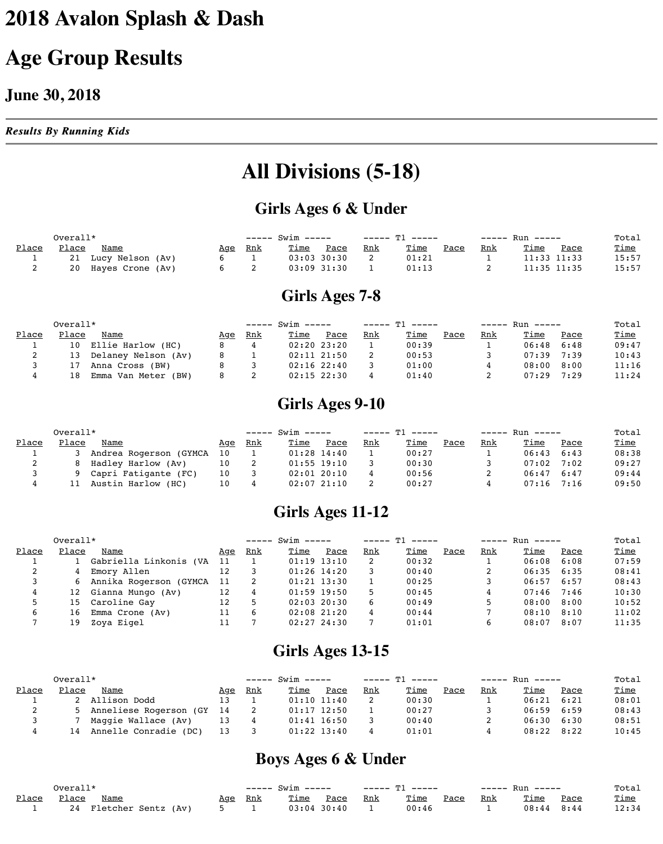# **2018 Avalon Splash & Dash**

## **Age Group Results**

#### **June 30, 2018**

*Results By Running Kids Results By Running Kids*

### **All Divisions (5-18)**

#### **Girls Ages 6 & Under**

|       | Overall*     |                     |            |            | ----- Swim ----- |                 |            | ----- Tl ----- |             |            | ----- Run -----            | Total       |
|-------|--------------|---------------------|------------|------------|------------------|-----------------|------------|----------------|-------------|------------|----------------------------|-------------|
| Place | <u>Place</u> | <u>Name</u>         | <u>Age</u> | <u>Rnk</u> | <u>Time</u>      | <u>Pace</u>     | <u>Rnk</u> | <u>Time</u>    | <u>Pace</u> | <u>Rnk</u> | <u>Time</u><br><u>Pace</u> | <u>Time</u> |
|       |              | 21 Lucy Nelson (Av) |            |            |                  | $03:03$ $30:30$ |            | 01:21          |             |            | $11:33$ $11:33$            | 15:57       |
|       |              | 20 Hayes Crone (Av) |            |            |                  | $03:09$ $31:30$ |            | 01:13          |             |            | $11:35$ $11:35$            | 15:57       |

#### **Girls Ages 7-8**

|       | $Overall*$ |                        |            |            | ----- Swim ----- |                 |     | ----- T1 ----- |      |     | ----- Run ----- |      | Total       |
|-------|------------|------------------------|------------|------------|------------------|-----------------|-----|----------------|------|-----|-----------------|------|-------------|
| Place | Place      | Name                   | <u>Age</u> | <u>Rnk</u> | <u>Time</u>      | Pace            | Rnk | <u>Time</u>    | Pace | Rnk | Time            | Pace | <u>Time</u> |
|       |            | 10 Ellie Harlow (HC)   |            |            |                  | $02:20$ $23:20$ |     | 00:39          |      |     | 06:48           | 6:48 | 09:47       |
| ▵     |            | 13 Delaney Nelson (Av) |            |            |                  | $02:11$ $21:50$ |     | 00:53          |      |     | 07:39           | 7:39 | 10:43       |
|       | 17         | Anna Cross (BW)        |            |            |                  | $02:16$ $22:40$ |     | 01:00          |      |     | 08:00           | 8:00 | 11:16       |
|       | l 8        | Emma Van Meter (BW)    |            |            |                  | $02:15$ 22:30   |     | 01:40          |      |     | 07:29           | 7:29 | 11:24       |

#### **Girls Ages 9-10**

|       | $Overall*$ |                        |                 |            | ----- Swim ----- |                 |     | ----- T1 ----- - |      |            | ----- Run ----- |      | Total       |
|-------|------------|------------------------|-----------------|------------|------------------|-----------------|-----|------------------|------|------------|-----------------|------|-------------|
| Place | Place      | Name                   | <u>Age</u>      | <u>Rnk</u> | <u>Time</u>      | Pace            | Rnk | <u>Time</u>      | Pace | <u>Rnk</u> | Time            | Pace | <u>Time</u> |
|       |            | Andrea Rogerson (GYMCA | 10 <sup>°</sup> |            | $01:28$ $14:40$  |                 |     | 00:27            |      |            | 06:43           | 6:43 | 08:38       |
|       | <b>8</b>   | Hadley Harlow (Av)     |                 |            |                  | $01:55$ $19:10$ |     | 00:30            |      |            | 07:02           | 7:02 | 09:27       |
|       | Q          | Capri Fatigante (FC)   | 10              |            |                  | $02:01$ $20:10$ |     | 00:56            |      |            | 06:47           | 6:47 | 09:44       |
|       |            | Austin Harlow (HC)     | 10              |            |                  | $02:07$ $21:10$ |     | 00:27            |      |            | 07:16           | 7:16 | 09:50       |

#### **Girls Ages 11-12**

|       | $Overall*$ |                          |     |            | $--- 5win ---$ |                 |     | $---T1$ $---$ |      |            | $---$ Run $---$ |      | Total       |
|-------|------------|--------------------------|-----|------------|----------------|-----------------|-----|---------------|------|------------|-----------------|------|-------------|
| Place | Place      | Name                     | Aqe | <u>Rnk</u> | <u>Time</u>    | Pace            | Rnk | <u>Time</u>   | Pace | <u>Rnk</u> | Time            | Pace | <u>Time</u> |
|       |            | Gabriella Linkonis (VA   | 11  |            |                | $01:19$ $13:10$ |     | 00:32         |      |            | 06:08           | 6:08 | 07:59       |
|       |            | 4 Emory Allen            | 12  |            |                | $01:26$ 14:20   |     | 00:40         |      |            | $06:35$ $6:35$  |      | 08:41       |
|       |            | 6 Annika Rogerson (GYMCA | 11  |            |                | $01:21$ $13:30$ |     | 00:25         |      |            | 06:57           | 6:57 | 08:43       |
|       |            | 12 Gianna Mungo (Av)     | 12  |            |                | $01:59$ 19:50   |     | 00:45         |      |            | 07:46           | 7:46 | 10:30       |
|       |            | 15 Caroline Gay          | 12  |            |                | $02:03$ 20:30   |     | 00:49         |      |            | 08:00           | 8:00 | 10:52       |
|       | ⊥6         | Emma Crone (Av)          | 11  |            |                | $02:08$ $21:20$ |     | 00:44         |      |            | 08:10           | 8:10 | 11:02       |

#### **Girls Ages 13-15**

|              | $Overall*$ |                             |            |            | ----- Swim ----- |                 |            | —————— 平1 ————— |      |            | ----- Run ----- |      | Total       |
|--------------|------------|-----------------------------|------------|------------|------------------|-----------------|------------|-----------------|------|------------|-----------------|------|-------------|
| <u>Place</u> | Place      | Name                        | <u>Age</u> | <u>Rnk</u> | <u>Time</u>      | Pace            | <u>Rnk</u> | <u>Time</u>     | Pace | <u>Rnk</u> | <u>Time</u>     | Pace | <u>Time</u> |
|              |            | 2 Allison Dodd              | 13         |            |                  | $01:10$ $11:40$ |            | 00:30           |      |            | 06:21           | 6:21 | 08:01       |
| 2            |            | 5 Anneliese Rogerson (GY 14 |            |            |                  | $01:17$ $12:50$ |            | 00:27           |      |            | $06:59$ $6:59$  |      | 08:43       |
|              |            | Maggie Wallace (Av)         | 13         |            |                  | $01:41$ $16:50$ |            | 00:40           |      |            | $06:30$ $6:30$  |      | 08:51       |
|              |            | 14 Annelle Conradie (DC)    | 13         |            |                  | $01:22$ $13:40$ |            | 01:01           |      |            | $08:22$ $8:22$  |      | 10:45       |

**Boys Ages 6 & Under**

|       | Overall $^{\star}$ |                     |     |            | ----- Swim ----- |               |            |             |      | ----- Run ----- |                |      | Total       |
|-------|--------------------|---------------------|-----|------------|------------------|---------------|------------|-------------|------|-----------------|----------------|------|-------------|
| Place | Place              | <b>Name</b>         | Aqe | <u>Rnk</u> | <u>Time</u>      | Pace          | <u>Rnk</u> | <u>Time</u> | Pace | <u>Rnk</u>      | Time           | Pace | <u>Time</u> |
|       | 24                 | Fletcher Sentz (Av) |     |            |                  | $03:04$ 30:40 |            | 00:46       |      |                 | $08:44$ $8:44$ |      | 12:34       |